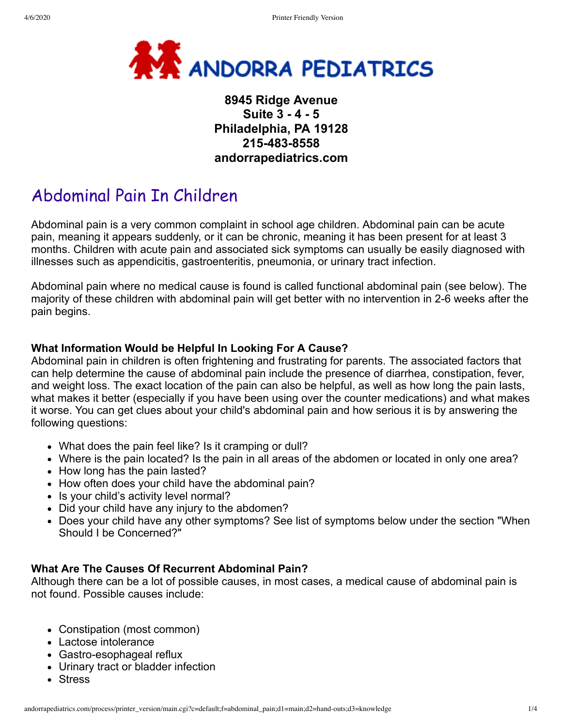

# **8945 Ridge Avenue Suite 3 - 4 - 5 Philadelphia, PA 19128 215-483-8558 andorrapediatrics.com**

# Abdominal Pain In Children

Abdominal pain is a very common complaint in school age children. Abdominal pain can be acute pain, meaning it appears suddenly, or it can be chronic, meaning it has been present for at least 3 months. Children with acute pain and associated sick symptoms can usually be easily diagnosed with illnesses such as appendicitis, gastroenteritis, pneumonia, or urinary tract infection.

Abdominal pain where no medical cause is found is called functional abdominal pain (see below). The majority of these children with abdominal pain will get better with no intervention in 2-6 weeks after the pain begins.

## **What Information Would be Helpful In Looking For A Cause?**

Abdominal pain in children is often frightening and frustrating for parents. The associated factors that can help determine the cause of abdominal pain include the presence of diarrhea, constipation, fever, and weight loss. The exact location of the pain can also be helpful, as well as how long the pain lasts, what makes it better (especially if you have been using over the counter medications) and what makes it worse. You can get clues about your child's abdominal pain and how serious it is by answering the following questions:

- What does the pain feel like? Is it cramping or dull?
- Where is the pain located? Is the pain in all areas of the abdomen or located in only one area?
- How long has the pain lasted?
- How often does your child have the abdominal pain?
- Is your child's activity level normal?
- Did your child have any injury to the abdomen?
- Does your child have any other symptoms? See list of symptoms below under the section "When Should I be Concerned?"

## **What Are The Causes Of Recurrent Abdominal Pain?**

Although there can be a lot of possible causes, in most cases, a medical cause of abdominal pain is not found. Possible causes include:

- Constipation (most common)
- Lactose intolerance
- Gastro-esophageal reflux
- Urinary tract or bladder infection
- Stress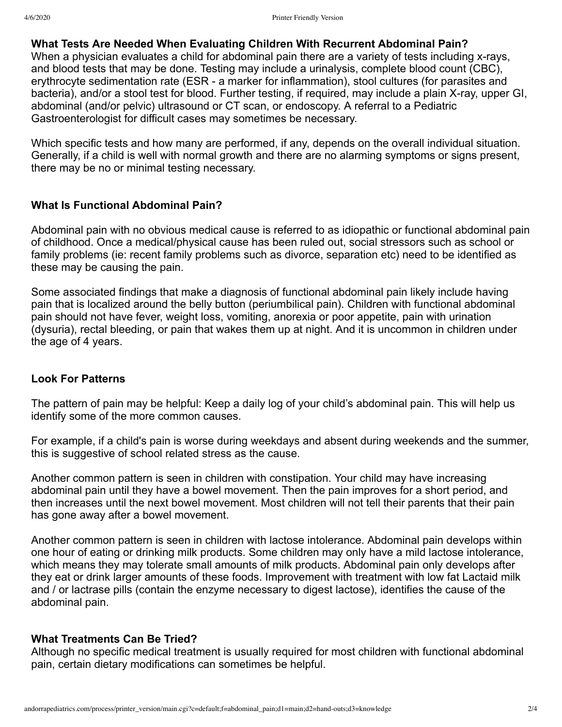### **What Tests Are Needed When Evaluating Children With Recurrent Abdominal Pain?**

When a physician evaluates a child for abdominal pain there are a variety of tests including x-rays, and blood tests that may be done. Testing may include a urinalysis, complete blood count (CBC), erythrocyte sedimentation rate (ESR - a marker for inflammation), stool cultures (for parasites and bacteria), and/or a stool test for blood. Further testing, if required, may include a plain X-ray, upper GI, abdominal (and/or pelvic) ultrasound or CT scan, or endoscopy. A referral to a Pediatric Gastroenterologist for difficult cases may sometimes be necessary.

Which specific tests and how many are performed, if any, depends on the overall individual situation. Generally, if a child is well with normal growth and there are no alarming symptoms or signs present, there may be no or minimal testing necessary.

#### **What Is Functional Abdominal Pain?**

Abdominal pain with no obvious medical cause is referred to as idiopathic or functional abdominal pain of childhood. Once a medical/physical cause has been ruled out, social stressors such as school or family problems (ie: recent family problems such as divorce, separation etc) need to be identified as these may be causing the pain.

Some associated findings that make a diagnosis of functional abdominal pain likely include having pain that is localized around the belly button (periumbilical pain). Children with functional abdominal pain should not have fever, weight loss, vomiting, anorexia or poor appetite, pain with urination (dysuria), rectal bleeding, or pain that wakes them up at night. And it is uncommon in children under the age of 4 years.

#### **Look For Patterns**

The pattern of pain may be helpful: Keep a daily log of your child's abdominal pain. This will help us identify some of the more common causes.

For example, if a child's pain is worse during weekdays and absent during weekends and the summer, this is suggestive of school related stress as the cause.

Another common pattern is seen in children with constipation. Your child may have increasing abdominal pain until they have a bowel movement. Then the pain improves for a short period, and then increases until the next bowel movement. Most children will not tell their parents that their pain has gone away after a bowel movement.

Another common pattern is seen in children with lactose intolerance. Abdominal pain develops within one hour of eating or drinking milk products. Some children may only have a mild lactose intolerance, which means they may tolerate small amounts of milk products. Abdominal pain only develops after they eat or drink larger amounts of these foods. Improvement with treatment with low fat Lactaid milk and / or lactrase pills (contain the enzyme necessary to digest lactose), identifies the cause of the abdominal pain.

#### **What Treatments Can Be Tried?**

Although no specific medical treatment is usually required for most children with functional abdominal pain, certain dietary modifications can sometimes be helpful.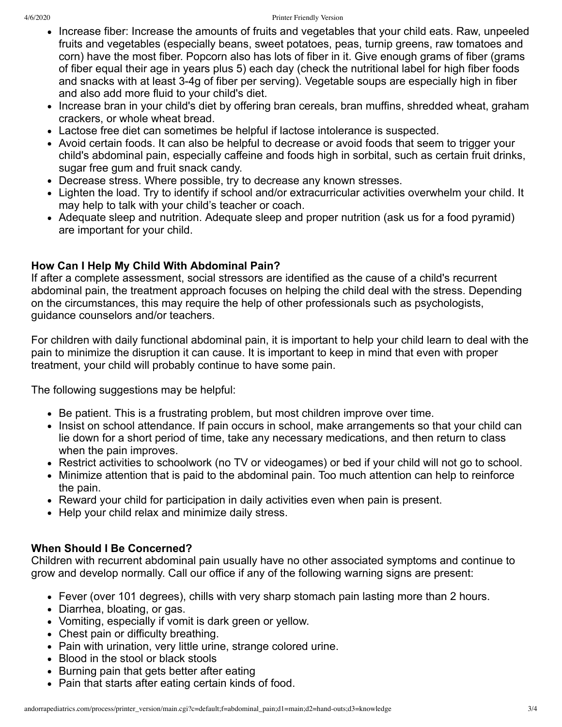- Increase fiber: Increase the amounts of fruits and vegetables that your child eats. Raw, unpeeled fruits and vegetables (especially beans, sweet potatoes, peas, turnip greens, raw tomatoes and corn) have the most fiber. Popcorn also has lots of fiber in it. Give enough grams of fiber (grams of fiber equal their age in years plus 5) each day (check the nutritional label for high fiber foods and snacks with at least 3-4g of fiber per serving). Vegetable soups are especially high in fiber and also add more fluid to your child's diet.
- Increase bran in your child's diet by offering bran cereals, bran muffins, shredded wheat, graham crackers, or whole wheat bread.
- Lactose free diet can sometimes be helpful if lactose intolerance is suspected.
- Avoid certain foods. It can also be helpful to decrease or avoid foods that seem to trigger your child's abdominal pain, especially caffeine and foods high in sorbital, such as certain fruit drinks, sugar free gum and fruit snack candy.
- Decrease stress. Where possible, try to decrease any known stresses.
- Lighten the load. Try to identify if school and/or extracurricular activities overwhelm your child. It may help to talk with your child's teacher or coach.
- Adequate sleep and nutrition. Adequate sleep and proper nutrition (ask us for a food pyramid) are important for your child.

# **How Can I Help My Child With Abdominal Pain?**

If after a complete assessment, social stressors are identified as the cause of a child's recurrent abdominal pain, the treatment approach focuses on helping the child deal with the stress. Depending on the circumstances, this may require the help of other professionals such as psychologists, guidance counselors and/or teachers.

For children with daily functional abdominal pain, it is important to help your child learn to deal with the pain to minimize the disruption it can cause. It is important to keep in mind that even with proper treatment, your child will probably continue to have some pain.

The following suggestions may be helpful:

- Be patient. This is a frustrating problem, but most children improve over time.
- Insist on school attendance. If pain occurs in school, make arrangements so that your child can lie down for a short period of time, take any necessary medications, and then return to class when the pain improves.
- Restrict activities to schoolwork (no TV or videogames) or bed if your child will not go to school.
- Minimize attention that is paid to the abdominal pain. Too much attention can help to reinforce the pain.
- Reward your child for participation in daily activities even when pain is present.
- Help your child relax and minimize daily stress.

# **When Should I Be Concerned?**

Children with recurrent abdominal pain usually have no other associated symptoms and continue to grow and develop normally. Call our office if any of the following warning signs are present:

- Fever (over 101 degrees), chills with very sharp stomach pain lasting more than 2 hours.
- Diarrhea, bloating, or gas.
- Vomiting, especially if vomit is dark green or yellow.
- Chest pain or difficulty breathing.
- Pain with urination, very little urine, strange colored urine.
- Blood in the stool or black stools
- Burning pain that gets better after eating
- Pain that starts after eating certain kinds of food.